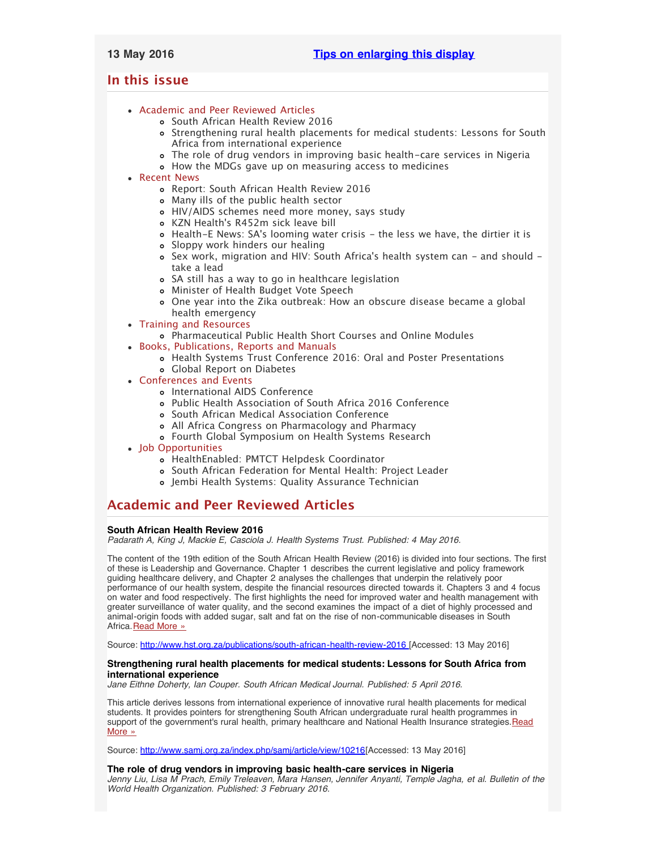# <span id="page-0-3"></span><span id="page-0-2"></span>**In this issue**

- [Academic and Peer Reviewed Articles](#page-0-0)
	- [South African Health Review 2016](#page-0-1)
	- [Strengthening rural health placements for medical students: Lessons for South](#page-0-1) [Africa from international experience](#page-0-1)
	- [The role of drug vendors in improving basic health-care services in Nigeria](#page-1-0)
	- [How the MDGs gave up on measuring access to medicines](#page-1-0)
- [Recent News](#page-1-1)
	- [Report: South African Health Review 2016](#page-1-2)
	- [Many ills of the public health sector](#page-1-2)
	- [HIV/AIDS schemes need more money, says study](#page-1-3)
	- KZN Health['s R452m sick leave bill](#page-1-4)
	- o Health-E News: SA['s looming water crisis the less we have, the dirtier it is](#page-1-5)
	- [Sloppy work hinders our healing](#page-0-2)
	- o Sex work, migration and HIV: South Africa['s health system can and should](#page-0-2)  [take a lead](#page-0-2)
	- [SA still has a way to go in healthcare legislation](#page-0-2)
	- [Minister of Health Budget Vote Speech](#page-0-2)
	- [One year into the Zika outbreak: How an obscure disease became a global](#page-0-2) [health emergency](#page-0-2)
- [Training and Resources](#page-3-0)
	- [Pharmaceutical Public Health Short Courses and Online Modules](#page-2-0)
- [Books, Publications, Reports and Manuals](#page-2-1)
	- [Health Systems Trust Conference 2016: Oral and Poster Presentations](#page-3-1) [Global Report on Diabetes](#page-3-1)
- [Conferences and Events](#page-3-2)
	- [International AIDS Conference](#page-3-3)
	- [Public Health Association of South Africa 2016 Conference](#page-3-3)
	- [South African Medical Association Conference](#page-0-2)
	- [All Africa Congress on Pharmacology and Pharmacy](#page-0-2)
	- [Fourth Global Symposium on Health Systems Research](#page-0-2)
- [Job Opportunities](#page-0-2)
	- [HealthEnabled: PMTCT Helpdesk Coordinator](#page-3-4)
	- [South African Federation for Mental Health: Project Leader](#page-3-4)
	- [Jembi Health Systems: Quality Assurance Technician](#page-4-0)

# <span id="page-0-0"></span>**Academic and Peer Reviewed Articles**

# **South African Health Review 2016**

*Padarath A, King J, Mackie E, Casciola J. Health Systems Trust. Published: 4 May 2016.*

The content of the 19th edition of the South African Health Review (2016) is divided into four sections. The first of these is Leadership and Governance. Chapter 1 describes the current legislative and policy framework guiding healthcare delivery, and Chapter 2 analyses the challenges that underpin the relatively poor performance of our health system, despite the financial resources directed towards it. Chapters 3 and 4 focus on water and food respectively. The first highlights the need for improved water and health management with greater surveillance of water quality, and the second examines the impact of a diet of highly processed and animal-origin foods with added sugar, salt and fat on the rise of non-communicable diseases in South Africa. [Read More »](http://www.hst.org.za/publications/south-african-health-review-2016)

Source: [http://www.hst.org.za/publications/south-african-health-review-2016 \[](http://www.hst.org.za/publications/south-african-health-review-2016)Accessed: 13 May 2016]

# <span id="page-0-1"></span>**Strengthening rural health placements for medical students: Lessons for South Africa from international experience**

*Jane Eithne Doherty, Ian Couper. South African Medical Journal. Published: 5 April 2016.*

This article derives lessons from international experience of innovative rural health placements for medical students. It provides pointers for strengthening South African undergraduate rural health programmes in support of the government's rural health, primary healthcare and National Health Insurance strategies. Read [More »](http://www.samj.org.za/index.php/samj/article/view/10216)

Source: [http://www.samj.org.za/index.php/samj/article/view/10216\[](http://www.samj.org.za/index.php/samj/article/view/10216)Accessed: 13 May 2016]

# **The role of drug vendors in improving basic health-care services in Nigeria**

*Jenny Liu, Lisa M Prach, Emily Treleaven, Mara Hansen, Jennifer Anyanti, Temple Jagha, et al. Bulletin of the World Health Organization. Published: 3 February 2016.*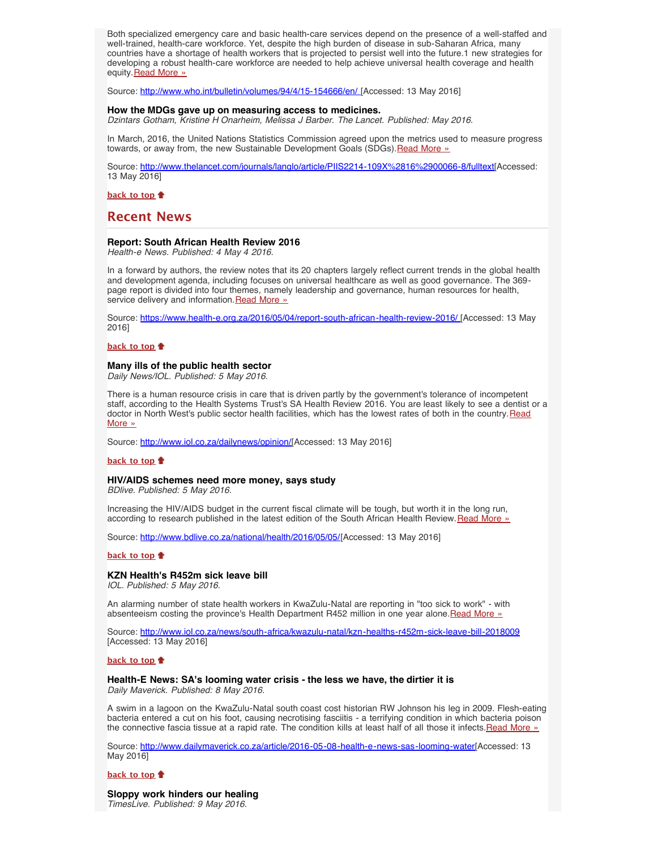Both specialized emergency care and basic health-care services depend on the presence of a well-staffed and well-trained, health-care workforce. Yet, despite the high burden of disease in sub-Saharan Africa, many countries have a shortage of health workers that is projected to persist well into the future.1 new strategies for developing a robust health-care workforce are needed to help achieve universal health coverage and health equity. [Read More »](http://www.ghspjournal.org/content/4/1/165.full.pdf+html)

Source: [http://www.who.int/bulletin/volumes/94/4/15-154666/en/ \[](http://www.who.int/bulletin/volumes/94/4/15-154666/en/)Accessed: 13 May 2016]

### <span id="page-1-0"></span>**How the MDGs gave up on measuring access to medicines.**

*Dzintars Gotham, Kristine H Onarheim, Melissa J Barber. The Lancet. Published: May 2016.*

In March, 2016, the United Nations Statistics Commission agreed upon the metrics used to measure progress towards, or away from, the new Sustainable Development Goals (SDGs). [Read More »](http://www.thelancet.com/journals/langlo/article/PIIS2214-109X(16)00066-8/fulltext)

Source: [http://www.thelancet.com/journals/langlo/article/PIIS2214-109X%2816%2900066-8/fulltext\[](http://www.thelancet.com/journals/langlo/article/PIIS2214-109X%2816%2900066-8/fulltext)Accessed: 13 May 2016]

**[back to top](#page-0-3)**

# <span id="page-1-1"></span>**Recent News**

# **Report: South African Health Review 2016**

*Health-e News. Published: 4 May 4 2016.*

In a forward by authors, the review notes that its 20 chapters largely reflect current trends in the global health and development agenda, including focuses on universal healthcare as well as good governance. The 369 page report is divided into four themes, namely leadership and governance, human resources for health, service delivery and information. [Read More »](http://www.hst.org.za/news/report-south-african-health-review-2016)

Source: [https://www.health-e.org.za/2016/05/04/report-south-african-health-review-2016/ \[](https://www.health-e.org.za/2016/05/04/report-south-african-health-review-2016/)Accessed: 13 May 2016]

**[back to top](#page-0-3)**

# <span id="page-1-2"></span>**Many ills of the public health sector**

*Daily News/IOL. Published: 5 May 2016.*

There is a human resource crisis in care that is driven partly by the government's tolerance of incompetent staff, according to the Health Systems Trust's SA Health Review 2016. You are least likely to see a dentist or a doctor in North West's public sector health facilities, which has the lowest rates of both in the country. [Read](http://www.hst.org.za/news/many-ills-public-health-sector) [More »](http://www.hst.org.za/news/many-ills-public-health-sector)

Source: [http://www.iol.co.za/dailynews/opinion/\[](http://www.iol.co.za/dailynews/opinion/many-ills-of-the-public-health-sector-2017592)Accessed: 13 May 2016]

### **[back to top](#page-0-3)**

# <span id="page-1-3"></span>**HIV/AIDS schemes need more money, says study**

*BDlive. Published: 5 May 2016.*

Increasing the HIV/AIDS budget in the current fiscal climate will be tough, but worth it in the long run, according to research published in the latest edition of the South African Health Review. [Read More »](http://www.hst.org.za/news/hivaids-schemes-need-more-money)

Source: [http://www.bdlive.co.za/national/health/2016/05/05/\[](http://www.bdlive.co.za/national/health/2016/05/05/hivaids-schemes-need-more-money-says-study)Accessed: 13 May 2016]

### **[back to top](#page-0-3)**

### <span id="page-1-4"></span>**KZN Health's R452m sick leave bill**

*IOL. Published: 5 May 2016.*

An alarming number of state health workers in KwaZulu-Natal are reporting in "too sick to work" - with absenteeism costing the province's Health Department R452 million in one year alone. [Read More »](http://www.hst.org.za/news/kzn-health-s-r452m-sick-leave-bill)

Source: <http://www.iol.co.za/news/south-africa/kwazulu-natal/kzn-healths-r452m-sick-leave-bill-2018009> [Accessed: 13 May 2016]

## **[back to top](#page-0-3)**

## <span id="page-1-5"></span>**Health-E News: SA's looming water crisis - the less we have, the dirtier it is** *Daily Maverick. Published: 8 May 2016.*

A swim in a lagoon on the KwaZulu-Natal south coast cost historian RW Johnson his leg in 2009. Flesh-eating bacteria entered a cut on his foot, causing necrotising fasciitis - a terrifying condition in which bacteria poison the connective fascia tissue at a rapid rate. The condition kills at least half of all those it infects[.Read More »](http://www.hst.org.za/news/health-e-news-sa-s-looming-water-crisis-less-we-have-dirtier-it)

Source: [http://www.dailymaverick.co.za/article/2016-05-08-health-e-news-sas-looming-water\[](http://www.dailymaverick.co.za/article/2016-05-08-health-e-news-sas-looming-water-crisis-the-less-we-have-the-dirtier-it-is/?utm_source=Daily+Maverick+First+Thing&utm_campaign=437a27627f-First_Thing_04_May5_3_2016&utm_medium=email&utm_term=0_c81900545f-437a27627f-127650657#.VzBUDYR97IV)Accessed: 13 May 2016]

**[back to top](#page-0-3)**

**Sloppy work hinders our healing** *TimesLive. Published: 9 May 2016.*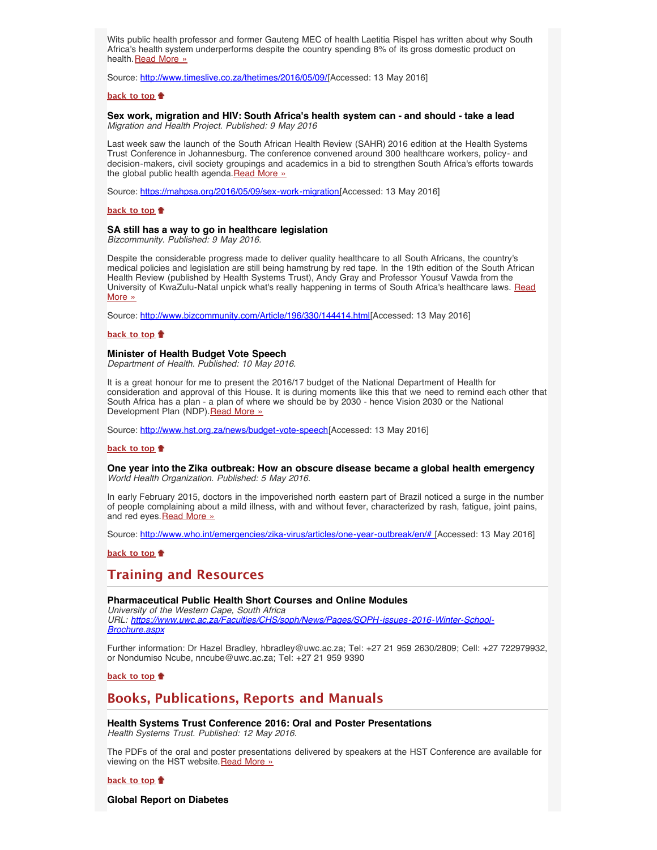Wits public health professor and former Gauteng MEC of health Laetitia Rispel has written about why South Africa's health system underperforms despite the country spending 8% of its gross domestic product on health. [Read More »](http://www.hst.org.za/news/sloppy-work-hinders-our-healing)

Source: [http://www.timeslive.co.za/thetimes/2016/05/09/\[](http://www.timeslive.co.za/thetimes/2016/05/09/Sloppy-work-hinders-our-healing)Accessed: 13 May 2016]

# **[back to top](#page-0-3)**

**Sex work, migration and HIV: South Africa's health system can - and should - take a lead** *Migration and Health Project. Published: 9 May 2016*

Last week saw the launch of the South African Health Review (SAHR) 2016 edition at the Health Systems Trust Conference in Johannesburg. The conference convened around 300 healthcare workers, policy- and decision-makers, civil society groupings and academics in a bid to strengthen South Africa's efforts towards the global public health agenda. [Read More »](http://www.hst.org.za/news/sex-work-migration-and-hiv-south-africa-s-health-system-can-and-should-take-lead)

Source: [https://mahpsa.org/2016/05/09/sex-work-migration\[](https://mahpsa.org/2016/05/09/sex-work-migration-and-hiv-south-africas-health-system-can-and-should-take-a-lead/)Accessed: 13 May 2016]

# **[back to top](#page-0-3)**

# **SA still has a way to go in healthcare legislation**

*Bizcommunity. Published: 9 May 2016.*

Despite the considerable progress made to deliver quality healthcare to all South Africans, the country's medical policies and legislation are still being hamstrung by red tape. In the 19th edition of the South African Health Review (published by Health Systems Trust), Andy Gray and Professor Yousuf Vawda from the University of KwaZulu-Natal unpick what's really happening in terms of South Africa's healthcare laws. [Read](http://www.hst.org.za/news/sa-still-has-way-go-healthcare-legislation) [More »](http://www.hst.org.za/news/sa-still-has-way-go-healthcare-legislation)

Source: [http://www.bizcommunity.com/Article/196/330/144414.html\[](http://www.bizcommunity.com/Article/196/330/144414.html)Accessed: 13 May 2016]

# **[back to top](#page-0-3)**

## **Minister of Health Budget Vote Speech**

*Department of Health. Published: 10 May 2016.*

It is a great honour for me to present the 2016/17 budget of the National Department of Health for consideration and approval of this House. It is during moments like this that we need to remind each other that South Africa has a plan - a plan of where we should be by 2030 - hence Vision 2030 or the National Development Plan (NDP). [Read More »](http://www.hst.org.za/news/budget-vote-speech)

Source: [http://www.hst.org.za/news/budget-vote-speech\[](http://www.hst.org.za/news/budget-vote-speech)Accessed: 13 May 2016]

#### **[back to top](#page-0-3)**

## **One year into the Zika outbreak: How an obscure disease became a global health emergency** *World Health Organization. Published: 5 May 2016.*

In early February 2015, doctors in the impoverished north eastern part of Brazil noticed a surge in the number of people complaining about a mild illness, with and without fever, characterized by rash, fatigue, joint pains, and red eyes. [Read More »](http://www.hst.org.za/news/one-year-zika-outbreak-how-obscure-disease-became-global-health-emergency)

Source: [http://www.who.int/emergencies/zika-virus/articles/one-year-outbreak/en/# \[](http://www.who.int/emergencies/zika-virus/articles/one-year-outbreak/en/#)Accessed: 13 May 2016]

**[back to top](#page-0-3)**

# **Training and Resources**

<span id="page-2-0"></span>**Pharmaceutical Public Health Short Courses and Online Modules** *University of the Western Cape, South Africa URL: [https://www.uwc.ac.za/Faculties/CHS/soph/News/Pages/SOPH-issues-2016-Winter-School-](https://www.uwc.ac.za/Faculties/CHS/soph/News/Pages/SOPH-issues-2016-Winter-School-Brochure.aspx)[Brochure.aspx](https://www.uwc.ac.za/Faculties/CHS/soph/News/Pages/SOPH-issues-2016-Winter-School-Brochure.aspx)*

Further information: Dr Hazel Bradley, hbradley@uwc.ac.za; Tel: +27 21 959 2630/2809; Cell: +27 722979932, or Nondumiso Ncube, nncube@uwc.ac.za; Tel: +27 21 959 9390

**[back to top](#page-0-3)**

# <span id="page-2-1"></span>**Books, Publications, Reports and Manuals**

**Health Systems Trust Conference 2016: Oral and Poster Presentations** *Health Systems Trust. Published: 12 May 2016.*

The PDFs of the oral and poster presentations delivered by speakers at the HST Conference are available for viewing on the HST website. [Read More »](http://www.hst.org.za/publications/hst-conference-presentations)

**[back to top](#page-0-3)**

**Global Report on Diabetes**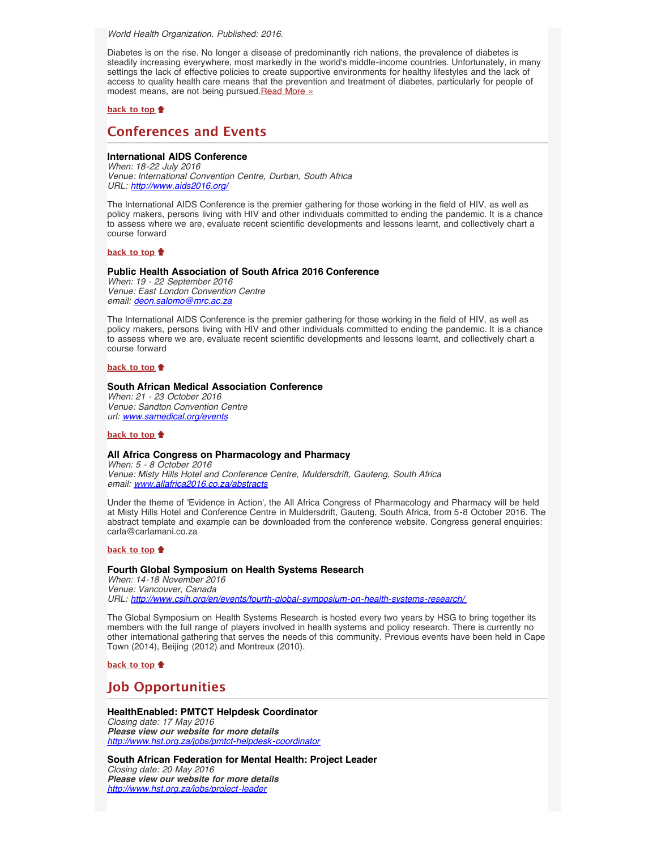<span id="page-3-1"></span>*World Health Organization. Published: 2016.*

Diabetes is on the rise. No longer a disease of predominantly rich nations, the prevalence of diabetes is steadily increasing everywhere, most markedly in the world's middle-income countries. Unfortunately, in many settings the lack of effective policies to create supportive environments for healthy lifestyles and the lack of access to quality health care means that the prevention and treatment of diabetes, particularly for people of modest means, are not being pursued. Read More »

## **[back to top](#page-0-3)**

# <span id="page-3-2"></span>**Conferences and Events**

# **International AIDS Conference**

*When: 18-22 July 2016 Venue: International Convention Centre, Durban, South Africa URL: <http://www.aids2016.org/>*

The International AIDS Conference is the premier gathering for those working in the field of HIV, as well as policy makers, persons living with HIV and other individuals committed to ending the pandemic. It is a chance to assess where we are, evaluate recent scientific developments and lessons learnt, and collectively chart a course forward

# **[back to top](#page-0-3)**

# **Public Health Association of South Africa 2016 Conference**

*When: 19 - 22 September 2016 Venue: East London Convention Centre email: [deon.salomo@mrc.ac.za](file:///Users/DTP/Desktop/deon.salomo@mrc.ac.za)*

The International AIDS Conference is the premier gathering for those working in the field of HIV, as well as policy makers, persons living with HIV and other individuals committed to ending the pandemic. It is a chance to assess where we are, evaluate recent scientific developments and lessons learnt, and collectively chart a course forward

### **[back to top](#page-0-3)**

### **South African Medical Association Conference**

*When: 21 - 23 October 2016 Venue: Sandton Convention Centre url: www.samedical.org/events*

### **[back to top](#page-0-3)**

# **All Africa Congress on Pharmacology and Pharmacy**

*When: 5 - 8 October 2016 Venue: Misty Hills Hotel and Conference Centre, Muldersdrift, Gauteng, South Africa email: [www.allafrica2016.co.za/abstracts](file:///Users/DTP/Desktop/www.allafrica2016.co.za/abstracts)*

Under the theme of 'Evidence in Action', the All Africa Congress of Pharmacology and Pharmacy will be held at Misty Hills Hotel and Conference Centre in Muldersdrift, Gauteng, South Africa, from 5-8 October 2016. The abstract template and example can be downloaded from the conference website. Congress general enquiries: carla@carlamani.co.za

# **[back to top](#page-0-3)**

# <span id="page-3-3"></span>**Fourth Global Symposium on Health Systems Research**

*When: 14-18 November 2016 Venue: Vancouver, Canada URL: <http://www.csih.org/en/events/fourth-global-symposium-on-health-systems-research/>*

The Global Symposium on Health Systems Research is hosted every two years by HSG to bring together its members with the full range of players involved in health systems and policy research. There is currently no other international gathering that serves the needs of this community. Previous events have been held in Cape Town (2014), Beijing (2012) and Montreux (2010).

**[back to top](#page-0-3)**

# <span id="page-3-0"></span>**Job Opportunities**

# **HealthEnabled: PMTCT Helpdesk Coordinator**

*Closing date: 17 May 2016 Please view our website for more details <http://www.hst.org.za/jobs/pmtct-helpdesk-coordinator>*

<span id="page-3-4"></span>**South African Federation for Mental Health: Project Leader** *Closing date: 20 May 2016 Please view our website for more details <http://www.hst.org.za/jobs/project-leader>*